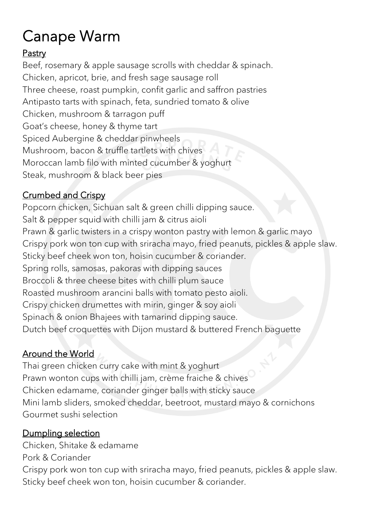# Canape Warm<br>**Pastry**

Beef, rosemary & apple sausage scrolls with cheddar & spinach. Chicken, apricot, brie, and fresh sage sausage roll Three cheese, roast pumpkin, confit garlic and saffron pastries Antipasto tarts with spinach, feta, sundried tomato & olive Chicken, mushroom & tarragon puff Goat's cheese, honey & thyme tart Spiced Aubergine & cheddar pinwheels Mushroom, bacon & truffle tartlets with chives Moroccan lamb filo with minted cucumber & yoghurt Steak, mushroom & black beer pies

#### Crumbed and Crispy

Popcorn chicken, Sichuan salt & green chilli dipping sauce. Salt & pepper squid with chilli jam & citrus aioli Prawn & garlic twisters in a crispy wonton pastry with lemon & garlic mayo Crispy pork won ton cup with sriracha mayo, fried peanuts, pickles & apple slaw. Sticky beef cheek won ton, hoisin cucumber & coriander. Spring rolls, samosas, pakoras with dipping sauces Broccoli & three cheese bites with chilli plum sauce Roasted mushroom arancini balls with tomato pesto aioli. Crispy chicken drumettes with mirin, ginger & soy aioli Spinach & onion Bhajees with tamarind dipping sauce. Dutch beef croquettes with Dijon mustard & buttered French baguette

#### Around the World

Thai green chicken curry cake with mint & yoghurt Prawn wonton cups with chilli jam, crème fraiche & chives Chicken edamame, coriander ginger balls with sticky sauce Mini lamb sliders, smoked cheddar, beetroot, mustard mayo & cornichons Gourmet sushi selection

#### Dumpling selection

Chicken, Shitake & edamame Pork & Coriander

Crispy pork won ton cup with sriracha mayo, fried peanuts, pickles & apple slaw. Sticky beef cheek won ton, hoisin cucumber & coriander.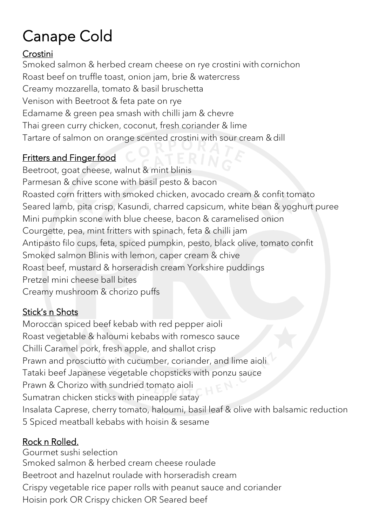## Canape Cold

#### Crostini

Smoked salmon & herbed cream cheese on rye crostini with cornichon Roast beef on truffle toast, onion jam, brie & watercress Creamy mozzarella, tomato & basil bruschetta Venison with Beetroot & feta pate on rye Edamame & green pea smash with chilli jam & chevre Thai green curry chicken, coconut, fresh coriander & lime Tartare of salmon on orange scented crostini with sour cream & dill

#### Fritters and Finger food

Beetroot, goat cheese, walnut & mint blinis Parmesan & chive scone with basil pesto & bacon Roasted corn fritters with smoked chicken, avocado cream & confit tomato Seared lamb, pita crisp, Kasundi, charred capsicum, white bean & yoghurt puree Mini pumpkin scone with blue cheese, bacon & caramelised onion Courgette, pea, mint fritters with spinach, feta & chilli jam Antipasto filo cups, feta, spiced pumpkin, pesto, black olive, tomato confit Smoked salmon Blinis with lemon, caper cream & chive Roast beef, mustard & horseradish cream Yorkshire puddings Pretzel mini cheese ball bites Creamy mushroom & chorizo puffs

#### Stick's n Shots

Moroccan spiced beef kebab with red pepper aioli Roast vegetable & haloumi kebabs with romesco sauce Chilli Caramel pork, fresh apple, and shallot crisp Prawn and prosciutto with cucumber, coriander, and lime aioli Tataki beef Japanese vegetable chopsticks with ponzu sauce Prawn & Chorizo with sundried tomato aioli Sumatran chicken sticks with pineapple satay Insalata Caprese, cherry tomato, haloumi, basil leaf & olive with balsamic reduction 5 Spiced meatball kebabs with hoisin & sesame

#### Rock n Rolled.

Gourmet sushi selection Smoked salmon & herbed cream cheese roulade Beetroot and hazelnut roulade with horseradish cream Crispy vegetable rice paper rolls with peanut sauce and coriander Hoisin pork OR Crispy chicken OR Seared beef